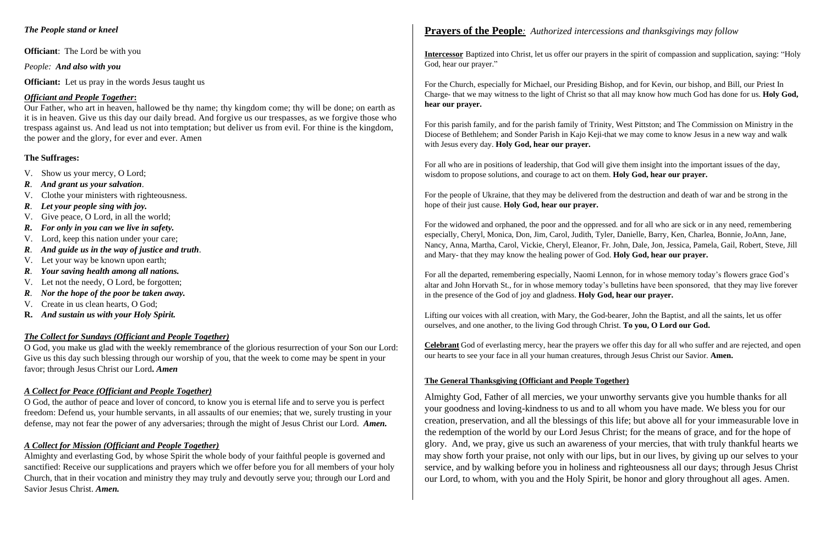### *The People stand or kneel*

**Officiant**: The Lord be with you

*People: And also with you*

**Officiant:** Let us pray in the words Jesus taught us

### *Officiant and People Together***:**

Our Father, who art in heaven, hallowed be thy name; thy kingdom come; thy will be done; on earth as it is in heaven. Give us this day our daily bread. And forgive us our trespasses, as we forgive those who trespass against us. And lead us not into temptation; but deliver us from evil. For thine is the kingdom, the power and the glory, for ever and ever. Amen

### **The Suffrages:**

- V. Show us your mercy, O Lord;
- *R*. *And grant us your salvation*.
- V. Clothe your ministers with righteousness.
- *R*. *Let your people sing with joy.*
- V. Give peace, O Lord, in all the world;
- *R***.** *For only in you can we live in safety.*
- V. Lord, keep this nation under your care;
- *R*. *And guide us in the way of justice and truth*.
- V. Let your way be known upon earth;
- *R*. *Your saving health among all nations.*
- V. Let not the needy, O Lord, be forgotten;
- *R*. *Nor the hope of the poor be taken away.*
- V. Create in us clean hearts, O God;
- **R.** *And sustain us with your Holy Spirit.*

### *The Collect for Sundays (Officiant and People Together)*

O God, you make us glad with the weekly remembrance of the glorious resurrection of your Son our Lord: Give us this day such blessing through our worship of you, that the week to come may be spent in your favor; through Jesus Christ our Lord**.** *Amen*

### *A Collect for Peace (Officiant and People Together)*

O God, the author of peace and lover of concord, to know you is eternal life and to serve you is perfect freedom: Defend us, your humble servants, in all assaults of our enemies; that we, surely trusting in your defense, may not fear the power of any adversaries; through the might of Jesus Christ our Lord. *Amen.*

### *A Collect for Mission (Officiant and People Together)*

Almighty and everlasting God, by whose Spirit the whole body of your faithful people is governed and sanctified: Receive our supplications and prayers which we offer before you for all members of your holy Church, that in their vocation and ministry they may truly and devoutly serve you; through our Lord and Savior Jesus Christ. *Amen.*

## **Prayers of the People***: Authorized intercessions and thanksgivings may follow*

**Intercessor** Baptized into Christ, let us offer our prayers in the spirit of compassion and supplication, saying: "Holy God, hear our prayer."

For the Church, especially for Michael, our Presiding Bishop, and for Kevin, our bishop, and Bill, our Priest In Charge- that we may witness to the light of Christ so that all may know how much God has done for us. **Holy God, hear our prayer.**

For this parish family, and for the parish family of Trinity, West Pittston; and The Commission on Ministry in the Diocese of Bethlehem; and Sonder Parish in Kajo Keji-that we may come to know Jesus in a new way and walk with Jesus every day. **Holy God, hear our prayer.** 

For all who are in positions of leadership, that God will give them insight into the important issues of the day, wisdom to propose solutions, and courage to act on them. **Holy God, hear our prayer.**

For the people of Ukraine, that they may be delivered from the destruction and death of war and be strong in the hope of their just cause. **Holy God, hear our prayer.**

For the widowed and orphaned, the poor and the oppressed. and for all who are sick or in any need, remembering especially, Cheryl, Monica, Don, Jim, Carol, Judith, Tyler, Danielle, Barry, Ken, Charlea, Bonnie, JoAnn, Jane, Nancy, Anna, Martha, Carol, Vickie, Cheryl, Eleanor, Fr. John, Dale, Jon, Jessica, Pamela, Gail, Robert, Steve, Jill and Mary- that they may know the healing power of God. **Holy God, hear our prayer.**

For all the departed, remembering especially, Naomi Lennon, for in whose memory today's flowers grace God's altar and John Horvath St., for in whose memory today's bulletins have been sponsored, that they may live forever in the presence of the God of joy and gladness. **Holy God, hear our prayer.**

Lifting our voices with all creation, with Mary, the God-bearer, John the Baptist, and all the saints, let us offer ourselves, and one another, to the living God through Christ. **To you, O Lord our God.** 

**Celebrant** God of everlasting mercy, hear the prayers we offer this day for all who suffer and are rejected, and open our hearts to see your face in all your human creatures, through Jesus Christ our Savior. **Amen.**

### **The General Thanksgiving (Officiant and People Together)**

Almighty God, Father of all mercies, we your unworthy servants give you humble thanks for all your goodness and loving-kindness to us and to all whom you have made. We bless you for our creation, preservation, and all the blessings of this life; but above all for your immeasurable love in the redemption of the world by our Lord Jesus Christ; for the means of grace, and for the hope of glory. And, we pray, give us such an awareness of your mercies, that with truly thankful hearts we may show forth your praise, not only with our lips, but in our lives, by giving up our selves to your service, and by walking before you in holiness and righteousness all our days; through Jesus Christ our Lord, to whom, with you and the Holy Spirit, be honor and glory throughout all ages. Amen.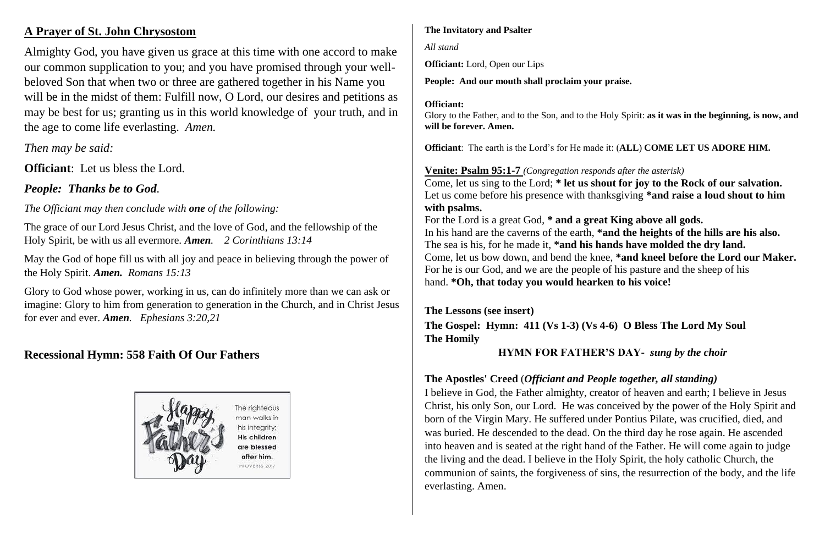# **A Prayer of St. John Chrysostom**

Almighty God, you have given us grace at this time with one accord to make our common supplication to you; and you have promised through your wellbeloved Son that when two or three are gathered together in his Name you will be in the midst of them: Fulfill now, O Lord, our desires and petitions as may be best for us; granting us in this world knowledge of your truth, and in the age to come life everlasting. *Amen.*

*Then may be said:*

**Officiant**: Let us bless the Lord.

*People: Thanks be to God.*

*The Officiant may then conclude with one of the following:*

The grace of our Lord Jesus Christ, and the love of God, and the fellowship of the Holy Spirit, be with us all evermore. *Amen.**2 Corinthians 13:14*

May the God of hope fill us with all joy and peace in believing through the power of the Holy Spirit. *Amen. Romans 15:13*

Glory to God whose power, working in us, can do infinitely more than we can ask or imagine: Glory to him from generation to generation in the Church, and in Christ Jesus for ever and ever. *Amen. Ephesians 3:20,21*

# **Recessional Hymn: 558 Faith Of Our Fathers**



### **The Invitatory and Psalter**

*All stand* 

**Officiant:** Lord, Open our Lips

**People: And our mouth shall proclaim your praise.**

### **Officiant:**

Glory to the Father, and to the Son, and to the Holy Spirit: **as it was in the beginning, is now, and will be forever. Amen.** 

**Officiant**: The earth is the Lord's for He made it: (**ALL**) **COME LET US ADORE HIM.**

**Venite: Psalm 95:1-7** *(Congregation responds after the asterisk)* Come, let us sing to the Lord; **\* let us shout for joy to the Rock of our salvation.** Let us come before his presence with thanksgiving **\*and raise a loud shout to him with psalms.**

For the Lord is a great God, **\* and a great King above all gods.** In his hand are the caverns of the earth, **\*and the heights of the hills are his also.** The sea is his, for he made it, **\*and his hands have molded the dry land.** Come, let us bow down, and bend the knee, **\*and kneel before the Lord our Maker.** For he is our God, and we are the people of his pasture and the sheep of his hand. **\*Oh, that today you would hearken to his voice!**

**The Lessons (see insert) The Gospel: Hymn: 411 (Vs 1-3) (Vs 4-6) O Bless The Lord My Soul The Homily**

### **HYMN FOR FATHER'S DAY-** *sung by the choir*

# **The Apostles' Creed** (*Officiant and People together, all standing)*

I believe in God, the Father almighty, creator of heaven and earth; I believe in Jesus Christ, his only Son, our Lord. He was conceived by the power of the Holy Spirit and born of the Virgin Mary. He suffered under Pontius Pilate, was crucified, died, and was buried. He descended to the dead. On the third day he rose again. He ascended into heaven and is seated at the right hand of the Father. He will come again to judge the living and the dead. I believe in the Holy Spirit, the holy catholic Church, the communion of saints, the forgiveness of sins, the resurrection of the body, and the life everlasting. Amen.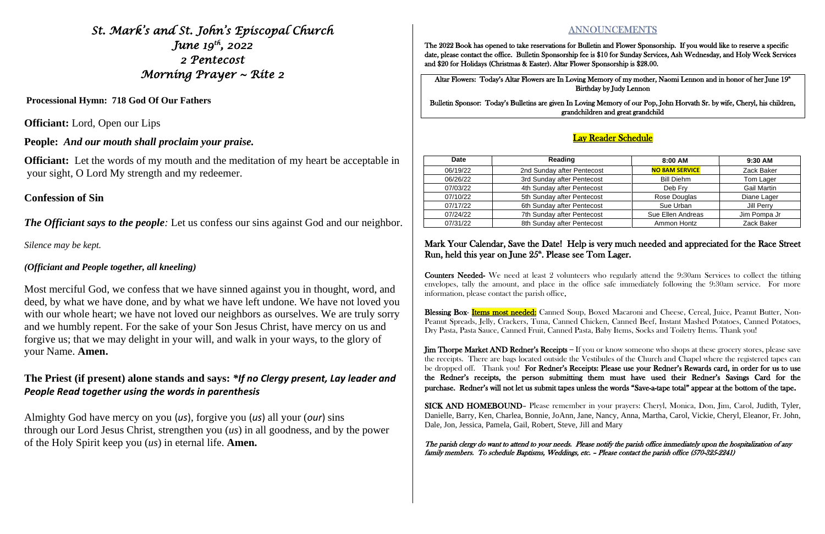*St. Mark's and St. John's Episcopal Church June 19th, 2022 2 Pentecost Morning Prayer ~ Rite 2* 

**Processional Hymn: 718 God Of Our Fathers**

**Officiant:** Lord, Open our Lips

**Officiant:** Let the words of my mouth and the meditation of my heart be acceptable in your sight, O Lord My strength and my redeemer.

**People:** *And our mouth shall proclaim your praise.*

### **Confession of Sin**

*The Officiant says to the people*: Let us confess our sins against God and our neighbor.

*Silence may be kept.*

### *(Officiant and People together, all kneeling)*

Most merciful God, we confess that we have sinned against you in thought, word, and deed, by what we have done, and by what we have left undone. We have not loved you with our whole heart; we have not loved our neighbors as ourselves. We are truly sorry and we humbly repent. For the sake of your Son Jesus Christ, have mercy on us and forgive us; that we may delight in your will, and walk in your ways, to the glory of your Name. **Amen.**

Altar Flowers: Today's Altar Flowers are In Loving Memory of my mother, Naomi Lennon and in honor of her June 19<sup>th</sup> Birthday by Judy Lennon

### Mark Your Calendar, Save the Date! Help is very much needed and appreciated for the Race Street Run, held this year on June  $25<sup>th</sup>$ . Please see Tom Lager.

## **The Priest (if present) alone stands and says:** *\*If no Clergy present, Lay leader and People Read together using the words in parenthesis*

Almighty God have mercy on you (*us*), forgive you (*us*) all your (*our*) sins through our Lord Jesus Christ, strengthen you (*us*) in all goodness, and by the power of the Holy Spirit keep you (*us*) in eternal life. **Amen.**

## **ANNOUNCEMENTS**

Blessing Box- Items most needed: Canned Soup, Boxed Macaroni and Cheese, Cereal, Juice, Peanut Butter, Non-Peanut Spreads, Jelly, Crackers, Tuna, Canned Chicken, Canned Beef, Instant Mashed Potatoes, Canned Potatoes, Dry Pasta, Pasta Sauce, Canned Fruit, Canned Pasta, Baby Items, Socks and Toiletry Items. Thank you!

The 2022 Book has opened to take reservations for Bulletin and Flower Sponsorship. If you would like to reserve a specific date, please contact the office. Bulletin Sponsorship fee is \$10 for Sunday Services, Ash Wednesday, and Holy Week Services and \$20 for Holidays (Christmas & Easter). Altar Flower Sponsorship is \$28.00.

Bulletin Sponsor: Today's Bulletins are given In Loving Memory of our Pop, John Horvath Sr. by wife, Cheryl, his children, grandchildren and great grandchild

### Lay Reader Schedule

Counters Needed- We need at least 2 volunteers who regularly attend the 9:30am Services to collect the tithing envelopes, tally the amount, and place in the office safe immediately following the 9:30am service. For more information, please contact the parish office.

Jim Thorpe Market AND Redner's Receipts – If you or know someone who shops at these grocery stores, please save the receipts. There are bags located outside the Vestibules of the Church and Chapel where the registered tapes can be dropped off. Thank you! For Redner's Receipts: Please use your Redner's Rewards card, in order for us to use the Redner's receipts, the person submitting them must have used their Redner's Savings Card for the purchase. Redner's will not let us submit tapes unless the words "Save-a-tape total" appear at the bottom of the tape.

SICK AND HOMEBOUND– Please remember in your prayers: Cheryl, Monica, Don, Jim, Carol, Judith, Tyler, Danielle, Barry, Ken, Charlea, Bonnie, JoAnn, Jane, Nancy, Anna, Martha, Carol, Vickie, Cheryl, Eleanor, Fr. John, Dale, Jon, Jessica, Pamela, Gail, Robert, Steve, Jill and Mary

The parish clergy do want to attend to your needs. Please notify the parish office immediately upon the hospitalization of any family members. To schedule Baptisms, Weddings, etc. – Please contact the parish office (570-325-2241)

| Date     | Reading                    | $8:00$ AM             | $9:30$ AM          |
|----------|----------------------------|-----------------------|--------------------|
| 06/19/22 | 2nd Sunday after Pentecost | <b>NO 8AM SERVICE</b> | Zack Baker         |
| 06/26/22 | 3rd Sunday after Pentecost | <b>Bill Diehm</b>     | Tom Lager          |
| 07/03/22 | 4th Sunday after Pentecost | Deb Fry               | <b>Gail Martin</b> |
| 07/10/22 | 5th Sunday after Pentecost | Rose Douglas          | Diane Lager        |
| 07/17/22 | 6th Sunday after Pentecost | Sue Urban             | Jill Perry         |
| 07/24/22 | 7th Sunday after Pentecost | Sue Ellen Andreas     | Jim Pompa Jr       |
| 07/31/22 | 8th Sunday after Pentecost | Ammon Hontz           | Zack Baker         |